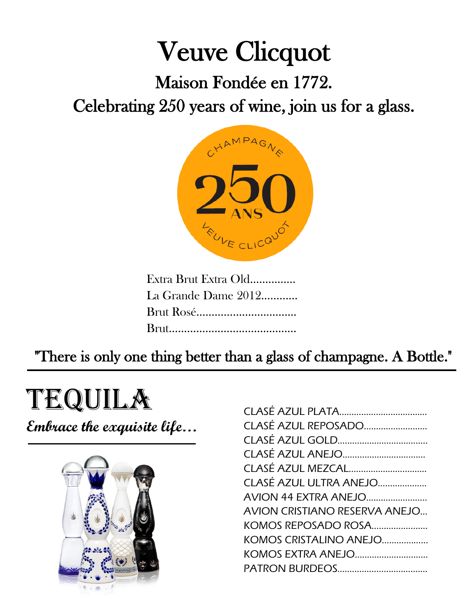# Veuve Clicquot Maison Fondée en 1772.

Celebrating 250 years of wine, join us for a glass.



"There is only one thing better than a glass of champagne. A Bottle."

## tequila

**Embrace the exquisite life…**



| CLASÉ AZUL REPOSADO                  |
|--------------------------------------|
|                                      |
|                                      |
| CLASÉ AZUL MEZCAL                    |
| CLASÉ AZUL ULTRA ANEJO               |
| AVION 44 EXTRA ANEJO                 |
| <b>AVION CRISTIANO RESERVA ANEJO</b> |
| KOMOS REPOSADO ROSA                  |
| KOMOS CRISTALINO ANEJO               |
| KOMOS EXTRA ANEJO                    |
|                                      |
|                                      |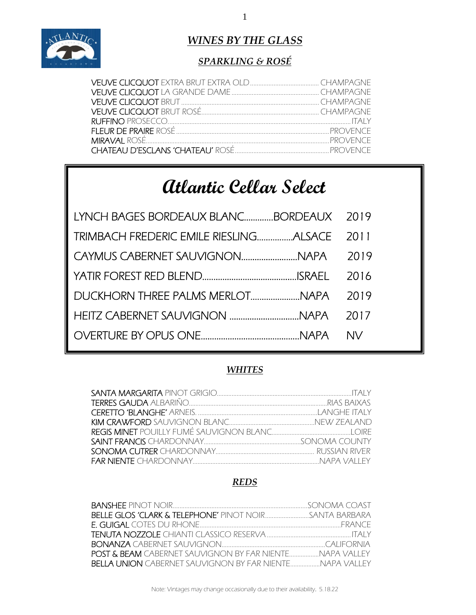

ֺֺ֚֝֬

### *WINES BY THE GLASS*

### *SPARKLING & ROSÉ*

## **Atlantic Cellar Select**

| LYNCH BAGES BORDEAUX BLANCBORDEAUX 2019 |      |
|-----------------------------------------|------|
|                                         | 2011 |
|                                         | 2019 |
|                                         | 2016 |
| DUCKHORN THREE PALMS MERLOTNAPA         | 2019 |
|                                         |      |
|                                         | NV.  |

#### *WHITES*

#### *REDS*

| <b>BELLA UNION</b> CABERNET SAUVIGNON BY FAR NIENTENAPA VALLEY |  |
|----------------------------------------------------------------|--|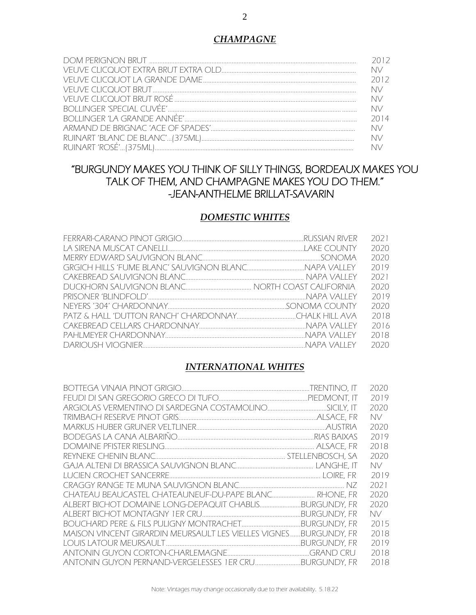#### 2

#### *CHAMPAGNE*

| 2012 |
|------|
| NV - |
| 2012 |
| NV - |
| NV.  |
| NV.  |
| 2014 |
| NV - |
| NV.  |
| NN N |

#### "BURGUNDY MAKES YOU THINK OF SILLY THINGS, BORDEAUX MAKES YOU TALK OF THEM, AND CHAMPAGNE MAKES YOU DO THEM." -JEAN-ANTHELME BRILLAT-SAVARIN

#### *DOMESTIC WHITES*

| 2020 |
|------|
|      |
| 2020 |
| 2019 |
| 2021 |
| 2020 |
| 2019 |
| 2020 |
| 2018 |
| 2016 |
| 2018 |
| 2020 |
|      |

#### *INTERNATIONAL WHITES*

|                                                                  | 2020 |
|------------------------------------------------------------------|------|
|                                                                  | 2019 |
|                                                                  | 2020 |
|                                                                  | NV.  |
|                                                                  | 2020 |
|                                                                  | 2019 |
|                                                                  | 2018 |
|                                                                  | 2020 |
|                                                                  | NV.  |
|                                                                  | 2019 |
|                                                                  | 2021 |
| CHATEAU BEAUCASTEL CHATEAUNEUF-DU-PAPE BLANC RHONE. FR           | 2020 |
| ALBERT BICHOT DOMAINE LONG-DEPAQUIT CHABLISBURGUNDY, FR          | 2020 |
|                                                                  | NV.  |
|                                                                  | 2015 |
| MAISON VINCENT GIRARDIN MEURSAULT LES VIELLES VIGNESBURGUNDY, FR | 2018 |
|                                                                  | 2019 |
|                                                                  | 2018 |
|                                                                  | 2018 |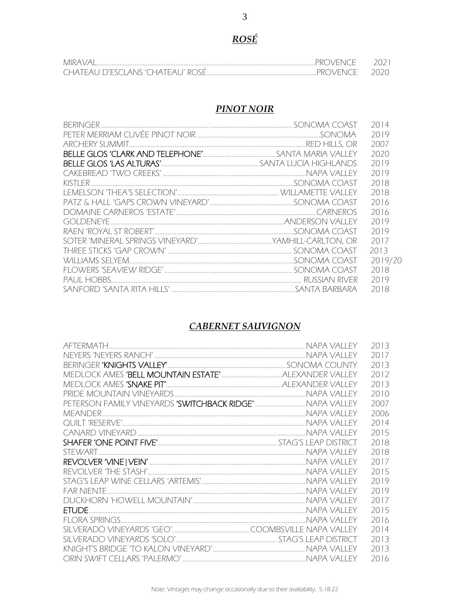### *ROSÉ*

| MIRA<br>.Venice.<br>ビビ                    | 2(1) |
|-------------------------------------------|------|
| eal i d'esclans 'chateal I' rose<br>CHATE |      |

#### *PINOT NOIR*

|  | 2014    |
|--|---------|
|  | 2019    |
|  | 2007    |
|  | 2020    |
|  | 2019    |
|  | 2019    |
|  | 2018    |
|  | 2018    |
|  | 2016    |
|  | 2016    |
|  | 2019    |
|  | 2019    |
|  | 2017    |
|  | 2013    |
|  | 2019/20 |
|  | 2018    |
|  | 2019    |
|  | 2018    |
|  |         |

#### *CABERNET SAUVIGNON*

|                                                           | 2013 |
|-----------------------------------------------------------|------|
|                                                           | 2017 |
|                                                           | 2013 |
|                                                           | 2012 |
|                                                           | 2013 |
|                                                           | 2010 |
| PETERSON FAMILY VINEYARDS 'SWITCHBACK RIDGE'  NAPA VALLEY | 2007 |
|                                                           | 2006 |
|                                                           | 2014 |
|                                                           | 2015 |
|                                                           | 2018 |
|                                                           | 2018 |
|                                                           | 2017 |
|                                                           | 2015 |
|                                                           | 2019 |
|                                                           | 2019 |
|                                                           | 2017 |
|                                                           | 2015 |
|                                                           | 2016 |
|                                                           | 2014 |
|                                                           | 2013 |
|                                                           | 2013 |
|                                                           | 2016 |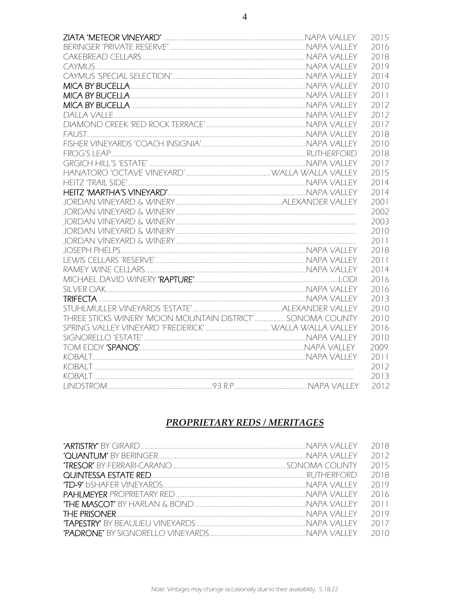|                                                             | 2015 |
|-------------------------------------------------------------|------|
|                                                             | 2016 |
|                                                             | 2018 |
|                                                             | 2019 |
|                                                             | 2014 |
|                                                             | 2010 |
|                                                             | 2011 |
|                                                             | 2012 |
|                                                             | 2012 |
|                                                             | 2017 |
|                                                             | 2018 |
|                                                             | 2010 |
|                                                             | 2018 |
|                                                             | 2017 |
|                                                             | 2015 |
|                                                             | 2014 |
|                                                             | 2014 |
|                                                             | 2001 |
|                                                             | 2002 |
|                                                             | 2003 |
|                                                             | 2010 |
|                                                             | 2011 |
|                                                             | 2018 |
|                                                             | 2011 |
|                                                             | 2014 |
|                                                             | 2016 |
|                                                             | 2016 |
|                                                             | 2013 |
|                                                             | 2010 |
| THREE STICKS WINERY 'MOON MOUNTAIN DISTRICT'  SONOMA COUNTY | 2010 |
|                                                             | 2016 |
|                                                             | 2010 |
|                                                             | 2009 |
|                                                             | 2011 |
|                                                             | 2012 |
|                                                             | 2013 |
|                                                             | 2012 |

#### **PROPRIETARY REDS / MERITAGES**

|  | 2018 |
|--|------|
|  | 2012 |
|  | 2015 |
|  | 2018 |
|  | 2019 |
|  | 2016 |
|  | 2011 |
|  | 2019 |
|  | 2017 |
|  | 2010 |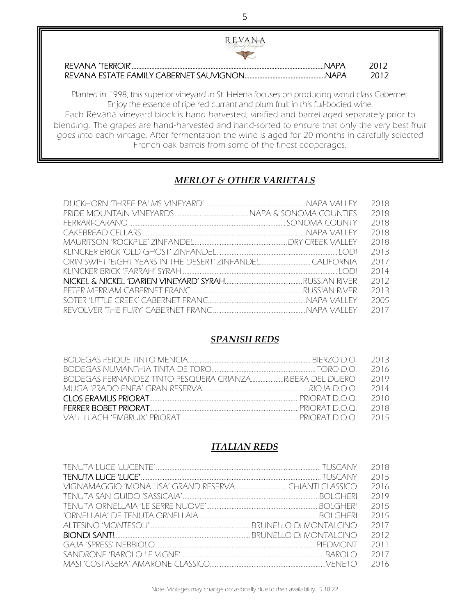| <b>REVANA</b>                                                                                                                                                                      |             |               |
|------------------------------------------------------------------------------------------------------------------------------------------------------------------------------------|-------------|---------------|
| REVANA TERROIR'                                                                                                                                                                    | <b>NAPA</b> |               |
|                                                                                                                                                                                    |             | -2012<br>2012 |
| Planted in 1998, this superior vineyard in St. Helena focuses on producing world class Cabernet.<br>Enjoy the essence of ripe red currant and plum fruit in this full-bodied wine. |             |               |

Each Revana vineyard block is hand-harvested, vinified and barrel-aged separately prior to blending. The grapes are hand-harvested and hand-sorted to ensure that only the very best fruit goes into each vintage. After fermentation the wine is aged for 20 months in carefully selected French oak barrels from some of the finest cooperages.

#### *MERLOT & OTHER VARIETALS*

|  | 2018 |
|--|------|
|  | 2018 |
|  | 2018 |
|  | 2018 |
|  | 2018 |
|  | 2013 |
|  | 2017 |
|  | 2014 |
|  | 2012 |
|  | 2013 |
|  | 2005 |
|  | 2017 |

i

 $\overline{a}$ 

#### *SPANISH REDS*

|                                                               | -2016  |
|---------------------------------------------------------------|--------|
| BODEGAS FERNANDEZ TINTO PESQUERA CRIANZARIBERA DEL DUERO 2019 |        |
|                                                               | 2014   |
|                                                               | - 2010 |
|                                                               | - 2018 |
|                                                               |        |

#### *ITALIAN REDS*

|  | 2018 |
|--|------|
|  |      |
|  | 2015 |
|  | 2016 |
|  | 2019 |
|  | 2015 |
|  | 2015 |
|  | 2017 |
|  | 2012 |
|  | 2011 |
|  | 2017 |
|  | 2016 |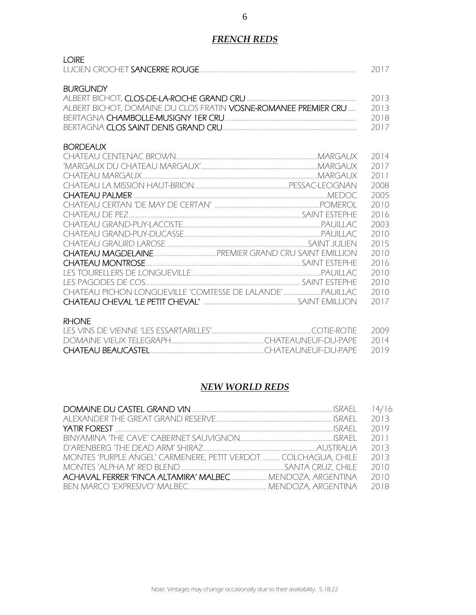#### *FRENCH REDS*

#### LOIRE

|                                                                             | -2017- |
|-----------------------------------------------------------------------------|--------|
|                                                                             |        |
| BURGUNDY                                                                    |        |
|                                                                             | -2013  |
| ALBERT BICHOT, DOMAINE DU CLOS FRATIN <b>VOSNE-ROMANEE PREMIER CRU</b> 2013 |        |

| BERTAGNA CHAMBOLLE-MUSIGNY 1ER CRU   | 2018 |
|--------------------------------------|------|
| BERTAGNA CLOS SAINT DENIS GRAND CRU. |      |

#### BORDEAUX

|  | 2014 |
|--|------|
|  | 2017 |
|  | 2011 |
|  | 2008 |
|  | 2005 |
|  | 2010 |
|  | 2016 |
|  | 2003 |
|  | 2010 |
|  | 2015 |
|  | 2010 |
|  | 2016 |
|  | 2010 |
|  | 2010 |
|  | 2010 |
|  | 2017 |
|  |      |

#### RHONE

#### *NEW WORLD REDS*

|                                                                 | 2013 |
|-----------------------------------------------------------------|------|
|                                                                 | 2019 |
|                                                                 | 2011 |
|                                                                 | 2013 |
| MONTES 'PURPLE ANGEL' CARMENERE, PETIT VERDOT  COLCHAGUA, CHILE | 2013 |
|                                                                 | 2010 |
| ACHAVAL FERRER 'FINCA ALTAMIRA' MALBEC MENDOZA, ARGENTINA       | 2010 |
|                                                                 | 2018 |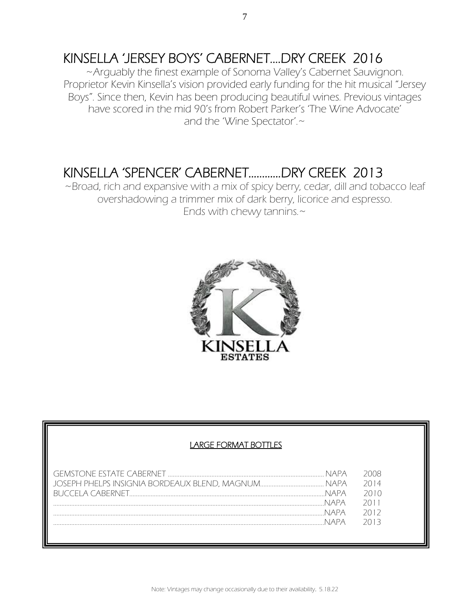## KINSELLA 'JERSEY BOYS' CABERNET….DRY CREEK 2016 ~Arguably the finest example of Sonoma Valley's Cabernet Sauvignon.

Proprietor Kevin Kinsella's vision provided early funding for the hit musical "Jersey Boys". Since then, Kevin has been producing beautiful wines. Previous vintages have scored in the mid 90's from Robert Parker's 'The Wine Advocate' and the 'Wine Spectator'.~

## KINSELLA 'SPENCER' CABERNET............DRY CREEK 2013<br>~Broad, rich and expansive with a mix of spicy berry, cedar, dill and tobacco leaf

overshadowing a trimmer mix of dark berry, licorice and espresso. Ends with chewy tannins.~



#### LARGE FORMAT BOTTLES

|       | 2014 |
|-------|------|
| NIAPA | 2010 |
|       | 2011 |
|       | 2012 |
|       | 7013 |
|       |      |